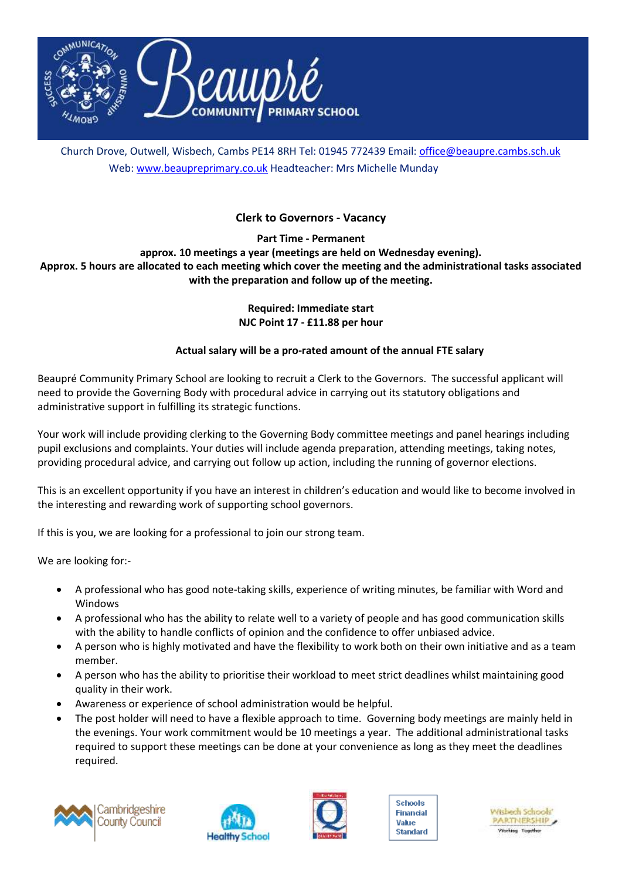

Church Drove, Outwell, Wisbech, Cambs PE14 8RH Tel: 01945 772439 Email: [office@beaupre.cambs.sch.uk](mailto:office@beaupre.cambs.sch.uk) Web[: www.beaupreprimary.co.uk](http://www.beaupreprimary.co.uk/) Headteacher: Mrs Michelle Munday

## **Clerk to Governors - Vacancy**

**Part Time - Permanent**

**approx. 10 meetings a year (meetings are held on Wednesday evening). Approx. 5 hours are allocated to each meeting which cover the meeting and the administrational tasks associated** 

**with the preparation and follow up of the meeting.**

**Required: Immediate start NJC Point 17 - £11.88 per hour**

## **Actual salary will be a pro-rated amount of the annual FTE salary**

Beaupré Community Primary School are looking to recruit a Clerk to the Governors. The successful applicant will need to provide the Governing Body with procedural advice in carrying out its statutory obligations and administrative support in fulfilling its strategic functions.

Your work will include providing clerking to the Governing Body committee meetings and panel hearings including pupil exclusions and complaints. Your duties will include agenda preparation, attending meetings, taking notes, providing procedural advice, and carrying out follow up action, including the running of governor elections.

This is an excellent opportunity if you have an interest in children's education and would like to become involved in the interesting and rewarding work of supporting school governors.

If this is you, we are looking for a professional to join our strong team.

We are looking for:-

- A professional who has good note-taking skills, experience of writing minutes, be familiar with Word and Windows
- A professional who has the ability to relate well to a variety of people and has good communication skills with the ability to handle conflicts of opinion and the confidence to offer unbiased advice.
- A person who is highly motivated and have the flexibility to work both on their own initiative and as a team member.
- A person who has the ability to prioritise their workload to meet strict deadlines whilst maintaining good quality in their work.
- Awareness or experience of school administration would be helpful.
- The post holder will need to have a flexible approach to time. Governing body meetings are mainly held in the evenings. Your work commitment would be 10 meetings a year. The additional administrational tasks required to support these meetings can be done at your convenience as long as they meet the deadlines required.







Schools **Financial** Value **Standard**